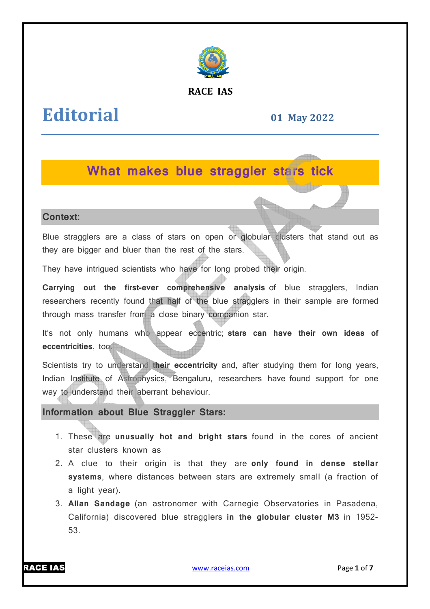

### **RACE IAS**

# **Editorial**

### **01 May 2022**

## **What makes blue straggler stars tick**

#### **Context:**

Blue stragglers are a class of stars on open or globular clusters that stand out as they are bigger and bluer than the rest of the stars.

They have intrigued scientists who have for long probed their origin.

**Carrying out the first-ever comprehensive analysis** of blue stragglers, Indian researchers recently found that half of the blue stragglers in their sample are formed through mass transfer from a close binary companion star.

It's not only humans who appear eccentric; stars can have their own ideas of **eccentricities**, too.

Scientists try to understand their eccentricity and, after studying them for long years, Indian Institute of Astrophysics, Bengaluru, researchers have found support for one way to understand their aberrant behaviour.

**Information about Blue Straggler Stars:**

- 1. These are **unusually hot and bright stars** found in the cores of ancient star clusters known a as
- 2. A clue to their origin is that they are **only found in dense stellar**  systems, where distances between stars are extremely small (a fraction of a light year).
- 3. **Allan Sandage** (an astronomer with Carnegie Observatories in Pasadena, California) discovered blue stragglers **in the globular cluster M M3** in 1952-53.



www.raceias.com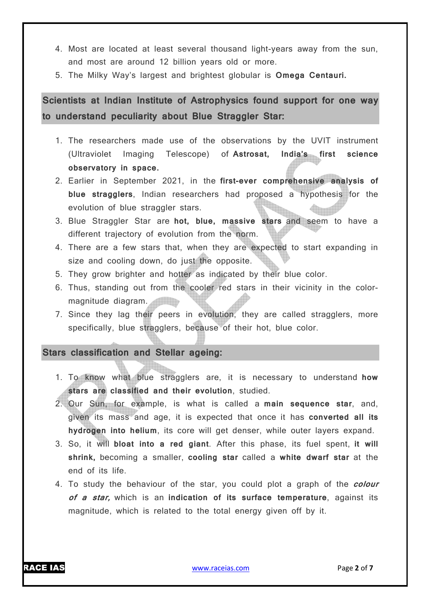- 4. Most are located at least several thousand light-years away from the sun, and most are around 12 billion years old or more.
- 5. The Milky Way's largest and brightest globular is **Omega Centauri.**

**Scientists at Indian Institute of Astrophysics found support for one way to understand peculiarity about Blue Straggler Star:**

- 1. The researchers made use of the observations by the UVIT instrument (Ultraviolet Imaging Telescope) of **Astrosat, India's first science observatory in space.**
- 2. Earlier in September 2021, in the **first-ever comprehensive analysis of blue stragglers**, Indian researchers had proposed a hypothesis for the evolution of blue straggler stars.
- 3. Blue Straggler Star are **hot, blue, massive stars** and seem to have a different trajectory of evolution from the norm.
- 4. There are a few stars that, when they are expected to start expanding in size and cooling down, do just the opposite.
- 5. They grow brighter and hotter as indicated by their blue color.
- 6. Thus, standing out from the cooler red stars in their vicinity in the colormagnitude diagram.
- 7. Since they lag their peers in evolution, they are called stragglers, more specifically, blue stragglers, because of their hot, blue color.

#### **Stars classification and Stellar ageing:**

- 1. To know what blue stragglers are, it is necessary to understand **how stars are classified and their evolution**, studied.
- 2. Our Sun, for example, is what is called a **main sequence star**, and, given its mass and age, it is expected that once it has **converted all its hydrogen into helium**, its core will get denser, while outer layers expand.
- 3. So, it will **bloat into a red giant**. After this phase, its fuel spent, **it will shrink,** becoming a smaller, **cooling star** called a **white dwarf star** at the end of its life.
- 4. To study the behaviour of the star, you could plot a graph of the **colour of a star,** which is an **indication of its surface temperature**, against its magnitude, which is related to the total energy given off by it.

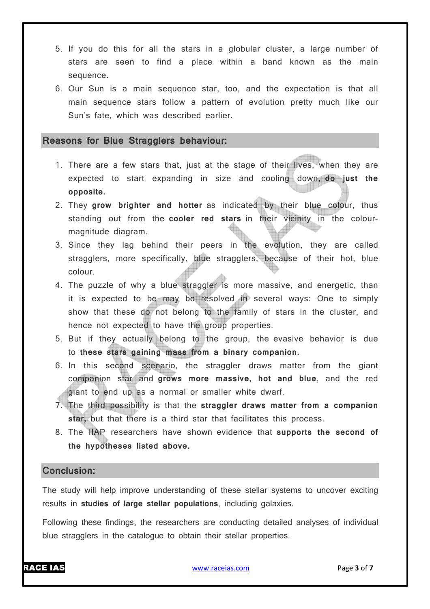- 5. If you do this for all the stars in a globular cluster, a large number of stars are seen to find a place within a band known as the main sequence.
- 6. Our Sun is a main sequence star, too, and the expectation is that all main sequence stars follow a pattern of evolution pretty much like our Sun's fate, which was described earlier.

#### **Reasons for Blue Stragglers behaviour:**

- 1. There are a few stars that, just at the stage of their lives, when they are expected to start expanding in size and cooling down, **do just the opposite.**
- 2. They **grow brighter and hotter** as indicated by their blue colour, thus standing out from the **cooler red stars** in their vicinity in the colourmagnitude diagram.
- 3. Since they lag behind their peers in the evolution, they are called stragglers, more specifically, blue stragglers, because of their hot, blue colour.
- 4. The puzzle of why a blue straggler is more massive, and energetic, than it is expected to be may be resolved in several ways: One to simply show that these do not belong to the family of stars in the cluster, and hence not expected to have the group properties.
- 5. But if they actually belong to the group, the evasive behavior is due to **these stars gaining mass from a binary companion.**
- 6. In this second scenario, the straggler draws matter from the giant companion star and **grows more massive, hot and blue**, and the red giant to end up as a normal or smaller white dwarf.
- 7. The third possibility is that the **straggler draws matter from a companion star,** but that there is a third star that facilitates this process.
- 8. The IIAP researchers have shown evidence that **supports the second of the hypotheses listed above.**

#### **Conclusion:**

The study will help improve understanding of these stellar systems to uncover exciting results in **studies of large stellar populations**, including galaxies.

Following these findings, the researchers are conducting detailed analyses of individual blue stragglers in the catalogue to obtain their stellar properties.

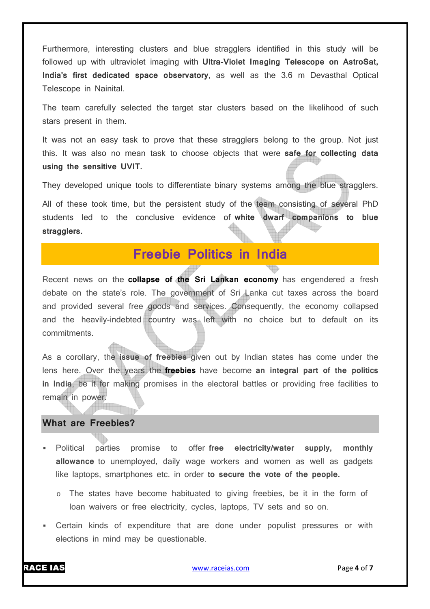Furthermore, interesting clusters and blue stragglers identified in this study will be followed up with ultraviolet imaging with **Ultra-Violet Imaging Telescope on AstroSat, India's first dedicated space observatory**, as well as the 3.6 m Devasthal Optical Telescope in Nainital.

The team carefully selected the target star clusters based on the likelihood of such stars present in them.

It was not an easy task to prove that these stragglers belong to the group. Not just this. It was also no mean task to choose objects that were **safe for collecting data using the sensitive UVIT.**

They developed unique tools to differentiate binary systems among the blue stragglers.

All of these took time, but the persistent study of the team consisting of several PhD students led to the conclusive evidence of **white dwarf companions to blue stragglers.**

# **Freebie Politics in India**

Recent news on the **collapse of the Sri Lankan economy** has engendered a fresh debate on the state's role. The government of Sri Lanka cut taxes across the board and provided several free goods and services. Consequently, the economy collapsed and the heavily-indebted country was left with no choice but to default on its commitments.

As a corollary, the **issue of freebies** given out by Indian states has come under the lens here. Over the years the **freebies** have become **an integral part of the politics in India**, be it for making promises in the electoral battles or providing free facilities to remain in power. <u> Timbro de la pro</u>

#### **What are Freebies?**

- Political parties promise to offer **free electricity/water supply, monthly allowance** to unemployed, daily wage workers and women as well as gadgets like laptops, smartphones etc. in order **to secure the vote of the people.**
	- $\circ$  The states have become habituated to giving freebies, be it in the form of loan waivers or free electricity, cycles, laptops, TV sets and so on.
- Certain kinds of expenditure that are done under populist pressures or with elections in mind may be questionable.

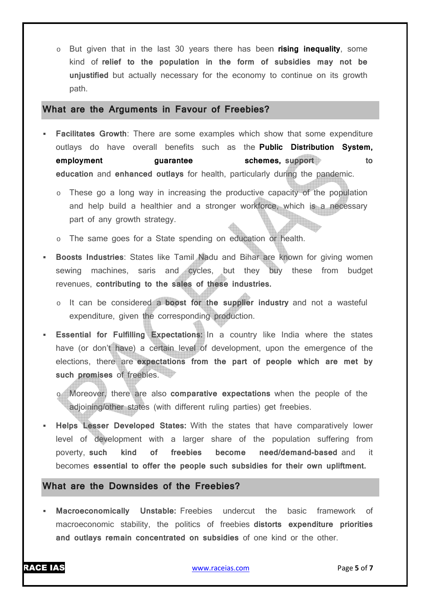o But given that in the last 30 years there has been **rising inequality**, some kind of **relief to the population in the form of subsidies may not be unjustified** but actually necessary for the economy to continue on its growth path.

#### **What are the Arguments in Favour of Freebies?**

- **Facilitates Growth**: There are some examples which show that some expenditure outlays do have overall benefits such as the **Public Distribution System, employment guarantee schemes, support to to to education** and **enhanced outlays** for health, particularly during the pandemic.
	- o These go a long way in increasing the productive capacity of the population and help build a healthier and a stronger workforce, which is a necessary part of any growth strategy.
	- o The same goes for a State spending on education or health.
- **Boosts Industries**: States like Tamil Nadu and Bihar are known for giving women sewing machines, saris and cycles, but they buy these from budget revenues, **contributing to the sales of these industries.**
	- o It can be considered a **boost for the supplier industry** and not a wasteful expenditure, given the corresponding production.
- **Essential for Fulfilling Expectations:** In a country like India where the states have (or don't have) a certain level of development, upon the emergence of the elections, there are **expectations from the part of people which are met by such promises** of freebies.
	- Moreover, there are also **comparative expectations** when the people of the adjoining/other states (with different ruling parties) get freebies.
- **Helps Lesser Developed States:** With the states that have comparatively lower level of development with a larger share of the population suffering from poverty, **such kind of freebies become need/demand-based** and it becomes **essential to offer the people such subsidies for their own upliftment.**

#### **What are the Downsides of the Freebies?**

 **Macroeconomically Unstable:** Freebies undercut the basic framework of macroeconomic stability, the politics of freebies **distorts expenditure priorities and outlays remain concentrated on subsidies** of one kind or the other.

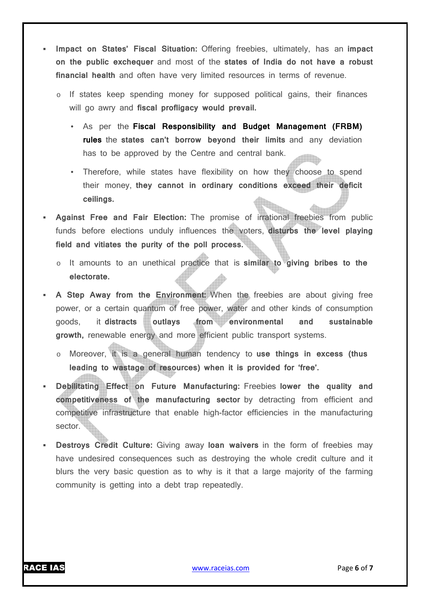- **Impact on States' Fiscal Situation:** Offering freebies, ultimately, has an **impact on the public exchequer** and most of the **states of India do not have a robust financial health** and often have very limited resources in terms of revenue.
	- o If states keep spending money for supposed political gains, their finances will go awry and **fiscal profligacy would prevail.**
		- As per the **Fiscal Responsibility and Budget Management (FRBM) rules** the **states can't borrow beyond their limits** and any deviation has to be approved by the Centre and central bank.
		- Therefore, while states have flexibility on how they choose to spend their money, **they cannot in ordinary conditions exceed their deficit ceilings.**
- **Against Free and Fair Election:** The promise of irrational freebies from public funds before elections unduly influences the voters, **disturbs the level playing field and vitiates the purity of the poll process.**
	- o It amounts to an unethical practice that is **similar to giving bribes to the electorate.**
- **A Step Away from the Environment:** When the freebies are about giving free power, or a certain quantum of free power, water and other kinds of consumption goods, it **distracts outlays from environmental and sustainable growth,** renewable energy and more efficient public transport systems.
	- o Moreover, it is a general human tendency to **use things in excess (thus leading to wastage of resources) when it is provided for 'free'.**
- **Debilitating Effect on Future Manufacturing:** Freebies **lower the quality and competitiveness of the manufacturing sector** by detracting from efficient and competitive infrastructure that enable high-factor efficiencies in the manufacturing sector.
- **Destroys Credit Culture:** Giving away **loan waivers** in the form of freebies may have undesired consequences such as destroying the whole credit culture and it blurs the very basic question as to why is it that a large majority of the farming community is getting into a debt trap repeatedly.